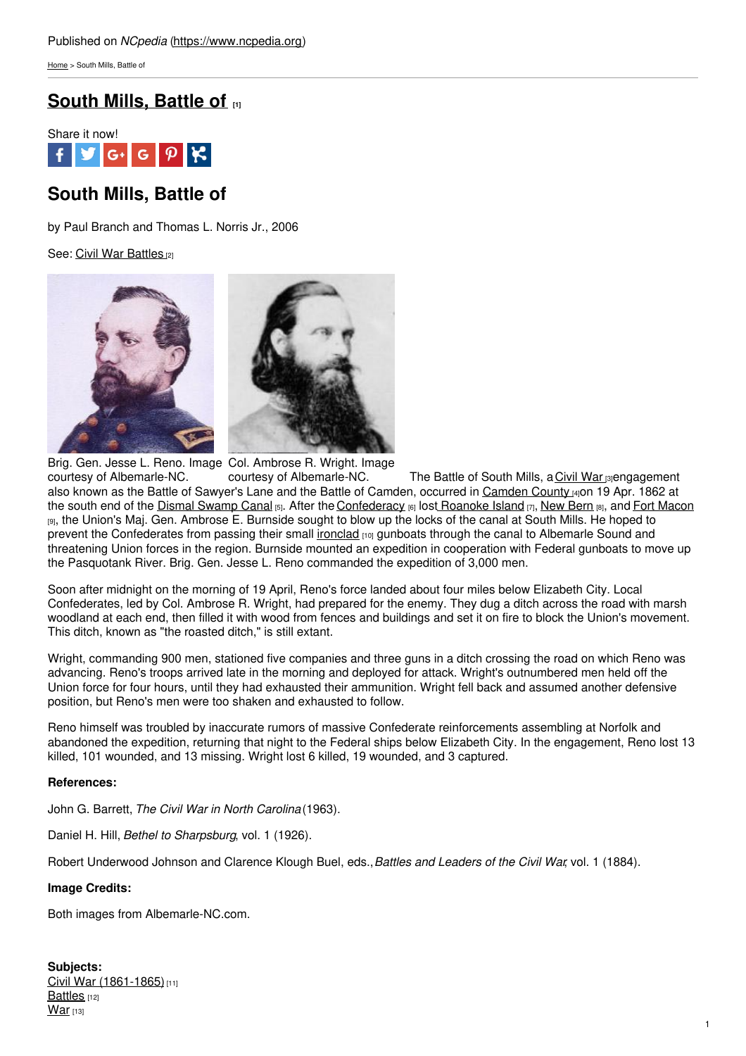[Home](https://www.ncpedia.org/) > South Mills, Battle of

## **[South](https://www.ncpedia.org/south-mills-battle) Mills, Battle of [1]**



# **South Mills, Battle of**

by Paul Branch and Thomas L. Norris Jr., 2006

See: Civil War [Battles](https://www.ncpedia.org/civilwar/battles) [2]



Brig. Gen. Jesse L. Reno. Image Col. Ambrose R. Wright. Image courtesy of Albemarle-NC. courtesy of Albemarle-NC. The Battle of South Mills, a [Civil](https://www.ncpedia.org/civil-war) War [3] engagement also known as the Battle of Sawyer's Lane and the Battle of [Camden](https://www.ncpedia.org/geography/camden), occurred in Camden County [4]on 19 Apr. 1862 at the south end of the Dismal [Swamp](https://www.ncpedia.org/dismal-swamp-canal) Canal [5]. After the [Confederacy](https://www.ncpedia.org/confederate-party) [6] lost [Roanoke](https://www.ncpedia.org/roanoke-island-battle) Island [7], [New](https://www.ncpedia.org/new-bern-battle) Bern [8], and Fort [Macon](https://www.ncpedia.org/fort-macon) [9], the Union's Maj. Gen. Ambrose E. Burnside sought to blow up the locks of the canal at South Mills. He hoped to prevent the Confederates from passing their small [ironclad](https://www.ncpedia.org/ironclads) [10] gunboats through the canal to Albemarle Sound and threatening Union forces in the region. Burnside mounted an expedition in cooperation with Federal gunboats to move up the Pasquotank River. Brig. Gen. Jesse L. Reno commanded the expedition of 3,000 men.

Soon after midnight on the morning of 19 April, Reno's force landed about four miles below Elizabeth City. Local Confederates, led by Col. Ambrose R. Wright, had prepared for the enemy. They dug a ditch across the road with marsh woodland at each end, then filled it with wood from fences and buildings and set it on fire to block the Union's movement. This ditch, known as "the roasted ditch," is still extant.

Wright, commanding 900 men, stationed five companies and three guns in a ditch crossing the road on which Reno was advancing. Reno's troops arrived late in the morning and deployed for attack. Wright's outnumbered men held off the Union force for four hours, until they had exhausted their ammunition. Wright fell back and assumed another defensive position, but Reno's men were too shaken and exhausted to follow.

Reno himself was troubled by inaccurate rumors of massive Confederate reinforcements assembling at Norfolk and abandoned the expedition, returning that night to the Federal ships below Elizabeth City. In the engagement, Reno lost 13 killed, 101 wounded, and 13 missing. Wright lost 6 killed, 19 wounded, and 3 captured.

### **References:**

John G. Barrett, *The Civil War in North Carolina* (1963).

Daniel H. Hill, *Bethel to Sharpsburg*, vol. 1 (1926).

Robert Underwood Johnson and Clarence Klough Buel, eds.,*Battles and Leaders of the Civil War*, vol. 1 (1884).

### **Image Credits:**

Both images from Albemarle-NC.com.

**Subjects:** Civil War [\(1861-1865\)](https://www.ncpedia.org/category/subjects/civil-war)<sup>[11]</sup> [Battles](https://www.ncpedia.org/category/subjects/battles) [12]  $War$  [13]